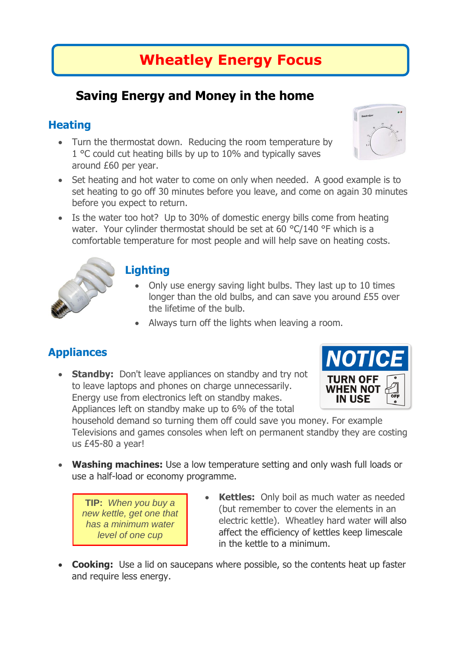# **Wheatley Energy Focus**

## **Saving Energy and Money in the home**

### **Heating**

- Turn the thermostat down. Reducing the room temperature by 1 °C could cut heating bills by up to 10% and typically saves around £60 per year.
- Set heating and hot water to come on only when needed. A good example is to set heating to go off 30 minutes before you leave, and come on again 30 minutes before you expect to return.
- Is the water too hot? Up to 30% of domestic energy bills come from heating water. Your cylinder thermostat should be set at 60 °C/140 °F which is a comfortable temperature for most people and will help save on heating costs.



#### **Lighting**

- Only use energy saving light bulbs. They last up to 10 times longer than the old bulbs, and can save you around £55 over the lifetime of the bulb.
- Always turn off the lights when leaving a room.

### **Appliances**

• **Standby:** Don't leave appliances on standby and try not to leave laptops and phones on charge unnecessarily. Energy use from electronics left on standby makes. Appliances left on standby make up to 6% of the total



household demand so turning them off could save you money. For example Televisions and games consoles when left on permanent standby they are costing us £45-80 a year!

 **Washing machines:** Use a low temperature setting and only wash full loads or use a half-load or economy programme.

**TIP:** *When you buy a new kettle, get one that has a minimum water level of one cup*

- **Kettles:** Only boil as much water as needed (but remember to cover the elements in an electric kettle). Wheatley hard water will also affect the efficiency of kettles keep limescale in the kettle to a minimum.
- **Cooking:** Use a lid on saucepans where possible, so the contents heat up faster and require less energy.